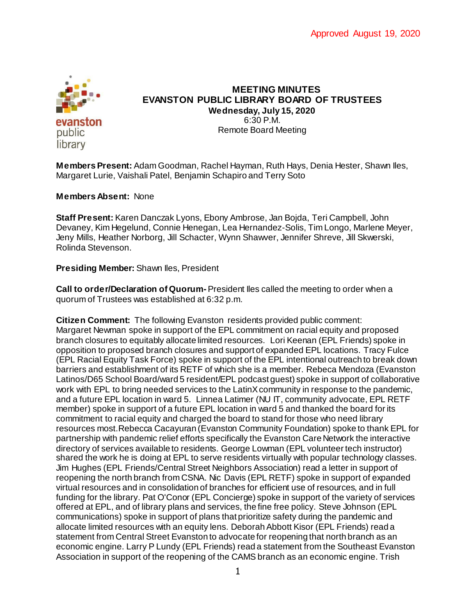

#### **MEETING MINUTES EVANSTON PUBLIC LIBRARY BOARD OF TRUSTEES Wednesday, July 15, 2020** 6:30 P.M. Remote Board Meeting

**Members Present:** Adam Goodman, Rachel Hayman, Ruth Hays, Denia Hester, Shawn Iles, Margaret Lurie, Vaishali Patel, Benjamin Schapiro and Terry Soto

#### **Members Absent:** None

**Staff Present:** Karen Danczak Lyons, Ebony Ambrose, Jan Bojda, Teri Campbell, John Devaney, Kim Hegelund, Connie Henegan, Lea Hernandez-Solis, Tim Longo, Marlene Meyer, Jeny Mills, Heather Norborg, Jill Schacter, Wynn Shawver, Jennifer Shreve, Jill Skwerski, Rolinda Stevenson.

#### **Presiding Member:** Shawn Iles, President

**Call to order/Declaration of Quorum-** President Iles called the meeting to order when a quorum of Trustees was established at 6:32 p.m.

**Citizen Comment:** The following Evanston residents provided public comment: Margaret Newman spoke in support of the EPL commitment on racial equity and proposed branch closures to equitably allocate limited resources. Lori Keenan (EPL Friends) spoke in opposition to proposed branch closures and support of expanded EPL locations. Tracy Fulce (EPL Racial Equity Task Force) spoke in support of the EPL intentional outreach to break down barriers and establishment of its RETF of which she is a member. Rebeca Mendoza (Evanston Latinos/D65 School Board/ward 5 resident/EPL podcast guest) spoke in support of collaborative work with EPL to bring needed services to the LatinX community in response to the pandemic, and a future EPL location in ward 5. Linnea Latimer (NU IT, community advocate, EPL RETF member) spoke in support of a future EPL location in ward 5 and thanked the board for its commitment to racial equity and charged the board to stand for those who need library resources most.Rebecca Cacayuran (Evanston Community Foundation) spoke to thank EPL for partnership with pandemic relief efforts specifically the Evanston Care Network the interactive directory of services available to residents. George Lowman (EPL volunteer tech instructor) shared the work he is doing at EPL to serve residents virtually with popular technology classes. Jim Hughes (EPL Friends/Central Street Neighbors Association) read a letter in support of reopening the north branch from CSNA. Nic Davis (EPL RETF) spoke in support of expanded virtual resources and in consolidation of branches for efficient use of resources, and in full funding for the library. Pat O'Conor (EPL Concierge) spoke in support of the variety of services offered at EPL, and of library plans and services, the fine free policy. Steve Johnson (EPL communications) spoke in support of plans that prioritize safety during the pandemic and allocate limited resources with an equity lens. Deborah Abbott Kisor (EPL Friends) read a statement from Central Street Evanston to advocate for reopening that north branch as an economic engine. Larry P Lundy (EPL Friends) read a statement from the Southeast Evanston Association in support of the reopening of the CAMS branch as an economic engine. Trish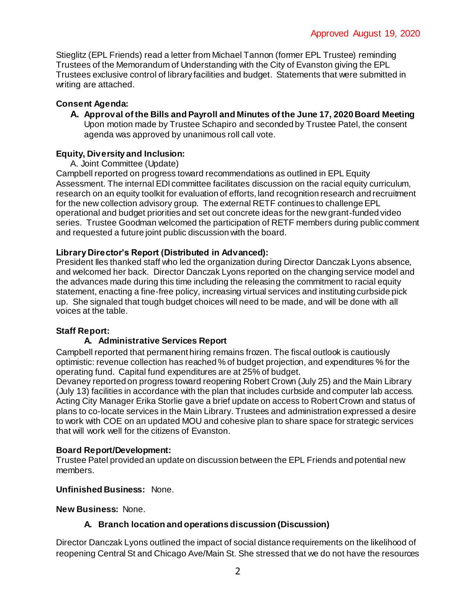Stieglitz (EPL Friends) read a letter from Michael Tannon (former EPL Trustee) reminding Trustees of the Memorandum of Understanding with the City of Evanston giving the EPL Trustees exclusive control of library facilities and budget. Statements that were submitted in writing are attached.

## **Consent Agenda:**

**A. Approval of the Bills and Payroll and Minutes of the June 17, 2020 Board Meeting** Upon motion made by Trustee Schapiro and seconded by Trustee Patel, the consent agenda was approved by unanimous roll call vote.

# **Equity, Diversity and Inclusion:**

A. Joint Committee (Update)

Campbell reported on progress toward recommendations as outlined in EPL Equity Assessment. The internal EDI committee facilitates discussion on the racial equity curriculum, research on an equity toolkit for evaluation of efforts, land recognition research and recruitment for the new collection advisory group. The external RETF continues to challenge EPL operational and budget priorities and set out concrete ideas for the new grant-funded video series. Trustee Goodman welcomed the participation of RETF members during public comment and requested a future joint public discussion with the board.

# **Library Director's Report (Distributed in Advanced):**

President Iles thanked staff who led the organization during Director Danczak Lyons absence, and welcomed her back. Director Danczak Lyons reported on the changing service model and the advances made during this time including the releasing the commitment to racial equity statement, enacting a fine-free policy, increasing virtual services and instituting curbside pick up. She signaled that tough budget choices will need to be made, and will be done with all voices at the table.

## **Staff Report:**

## **A. Administrative Services Report**

Campbell reported that permanent hiring remains frozen. The fiscal outlook is cautiously optimistic: revenue collection has reached % of budget projection, and expenditures % for the operating fund. Capital fund expenditures are at 25% of budget.

Devaney reported on progress toward reopening Robert Crown (July 25) and the Main Library (July 13) facilities in accordance with the plan that includes curbside and computer lab access. Acting City Manager Erika Storlie gave a brief update on access to Robert Crown and status of plans to co-locate services in the Main Library. Trustees and administration expressed a desire to work with COE on an updated MOU and cohesive plan to share space for strategic services that will work well for the citizens of Evanston.

## **Board Report/Development:**

Trustee Patel provided an update on discussion between the EPL Friends and potential new members.

## **Unfinished Business:** None.

**New Business:** None.

# **A. Branch location and operations discussion (Discussion)**

Director Danczak Lyons outlined the impact of social distance requirements on the likelihood of reopening Central St and Chicago Ave/Main St. She stressed that we do not have the resources